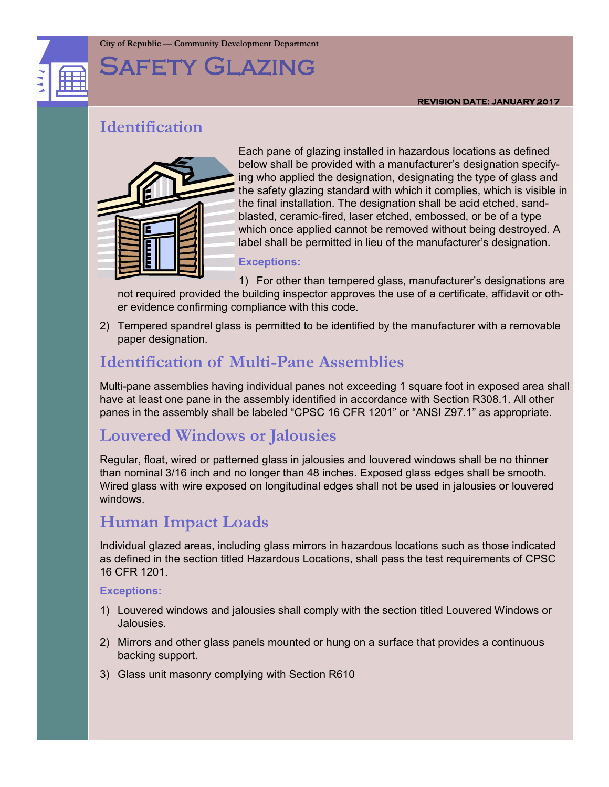

# Safety Glazing

### **REVISION DATE: JANUARY 2017**

### **Identification**



Each pane of glazing installed in hazardous locations as defined below shall be provided with a manufacturer's designation specifying who applied the designation, designating the type of glass and the safety glazing standard with which it complies, which is visible in the final installation. The designation shall be acid etched, sandblasted, ceramic-fired, laser etched, embossed, or be of a type which once applied cannot be removed without being destroyed. A label shall be permitted in lieu of the manufacturer's designation.

### **Exceptions:**

1) For other than tempered glass, manufacturer's designations are not required provided the building inspector approves the use of a certificate, affidavit or other evidence confirming compliance with this code.

2) Tempered spandrel glass is permitted to be identified by the manufacturer with a removable paper designation.

# **Identification of Multi-Pane Assemblies**

Multi-pane assemblies having individual panes not exceeding 1 square foot in exposed area shall have at least one pane in the assembly identified in accordance with Section R308.1. All other panes in the assembly shall be labeled "CPSC 16 CFR 1201" or "ANSI Z97.1" as appropriate.

# **Louvered Windows or Jalousies**

Regular, float, wired or patterned glass in jalousies and louvered windows shall be no thinner than nominal 3/16 inch and no longer than 48 inches. Exposed glass edges shall be smooth. Wired glass with wire exposed on longitudinal edges shall not be used in jalousies or louvered windows.

## **Human Impact Loads**

Individual glazed areas, including glass mirrors in hazardous locations such as those indicated as defined in the section titled Hazardous Locations, shall pass the test requirements of CPSC 16 CFR 1201.

### **Exceptions:**

- 1) Louvered windows and jalousies shall comply with the section titled Louvered Windows or Jalousies.
- 2) Mirrors and other glass panels mounted or hung on a surface that provides a continuous backing support.
- 3) Glass unit masonry complying with Section R610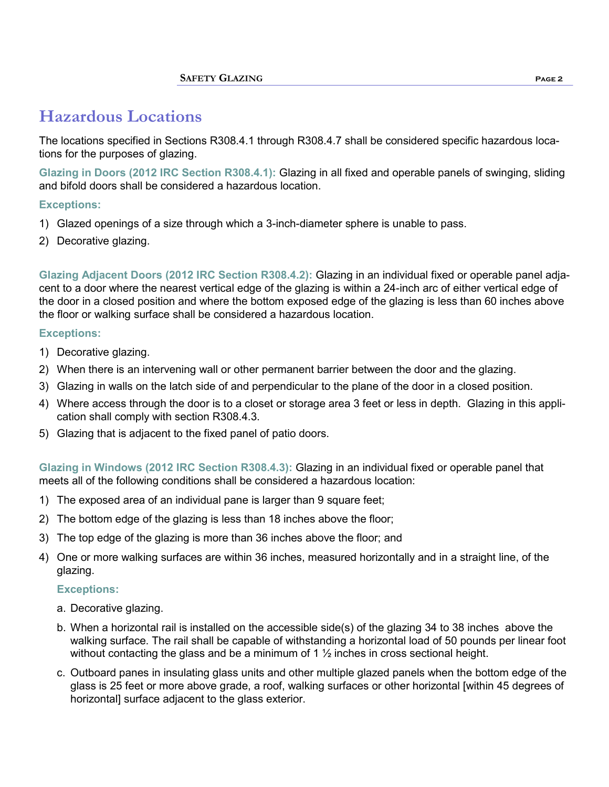# **Hazardous Locations**

The locations specified in Sections R308.4.1 through R308.4.7 shall be considered specific hazardous locations for the purposes of glazing.

**Glazing in Doors (2012 IRC Section R308.4.1):** Glazing in all fixed and operable panels of swinging, sliding and bifold doors shall be considered a hazardous location.

### **Exceptions:**

- 1) Glazed openings of a size through which a 3-inch-diameter sphere is unable to pass.
- 2) Decorative glazing.

**Glazing Adjacent Doors (2012 IRC Section R308.4.2):** Glazing in an individual fixed or operable panel adjacent to a door where the nearest vertical edge of the glazing is within a 24-inch arc of either vertical edge of the door in a closed position and where the bottom exposed edge of the glazing is less than 60 inches above the floor or walking surface shall be considered a hazardous location.

### **Exceptions:**

- 1) Decorative glazing.
- 2) When there is an intervening wall or other permanent barrier between the door and the glazing.
- 3) Glazing in walls on the latch side of and perpendicular to the plane of the door in a closed position.
- 4) Where access through the door is to a closet or storage area 3 feet or less in depth. Glazing in this application shall comply with section R308.4.3.
- 5) Glazing that is adjacent to the fixed panel of patio doors.

**Glazing in Windows (2012 IRC Section R308.4.3):** Glazing in an individual fixed or operable panel that meets all of the following conditions shall be considered a hazardous location:

- 1) The exposed area of an individual pane is larger than 9 square feet;
- 2) The bottom edge of the glazing is less than 18 inches above the floor;
- 3) The top edge of the glazing is more than 36 inches above the floor; and
- 4) One or more walking surfaces are within 36 inches, measured horizontally and in a straight line, of the glazing.

### **Exceptions:**

- a. Decorative glazing.
- b. When a horizontal rail is installed on the accessible side(s) of the glazing 34 to 38 inches above the walking surface. The rail shall be capable of withstanding a horizontal load of 50 pounds per linear foot without contacting the glass and be a minimum of 1  $\frac{1}{2}$  inches in cross sectional height.
- c. Outboard panes in insulating glass units and other multiple glazed panels when the bottom edge of the glass is 25 feet or more above grade, a roof, walking surfaces or other horizontal [within 45 degrees of horizontal] surface adjacent to the glass exterior.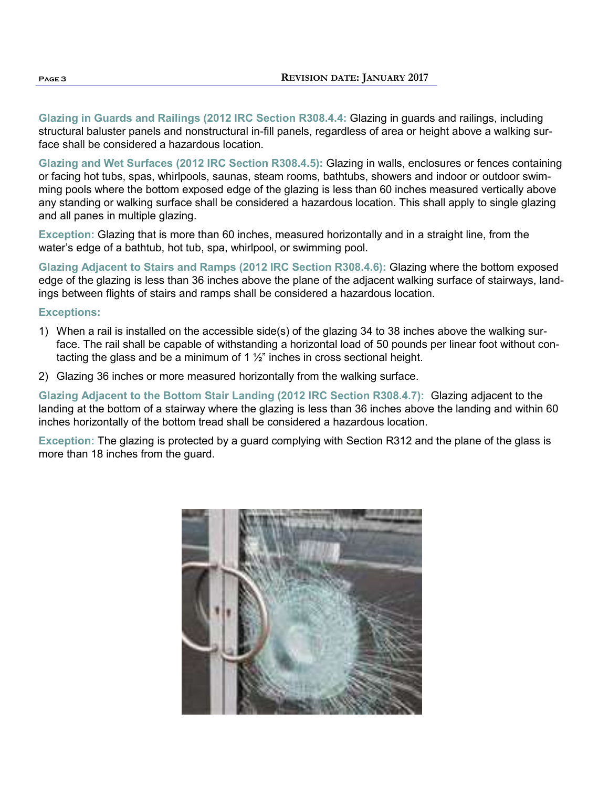**Glazing in Guards and Railings (2012 IRC Section R308.4.4:** Glazing in guards and railings, including structural baluster panels and nonstructural in-fill panels, regardless of area or height above a walking surface shall be considered a hazardous location.

**Glazing and Wet Surfaces (2012 IRC Section R308.4.5):** Glazing in walls, enclosures or fences containing or facing hot tubs, spas, whirlpools, saunas, steam rooms, bathtubs, showers and indoor or outdoor swimming pools where the bottom exposed edge of the glazing is less than 60 inches measured vertically above any standing or walking surface shall be considered a hazardous location. This shall apply to single glazing and all panes in multiple glazing.

**Exception:** Glazing that is more than 60 inches, measured horizontally and in a straight line, from the water's edge of a bathtub, hot tub, spa, whirlpool, or swimming pool.

**Glazing Adjacent to Stairs and Ramps (2012 IRC Section R308.4.6):** Glazing where the bottom exposed edge of the glazing is less than 36 inches above the plane of the adjacent walking surface of stairways, landings between flights of stairs and ramps shall be considered a hazardous location.

### **Exceptions:**

- 1) When a rail is installed on the accessible side(s) of the glazing 34 to 38 inches above the walking surface. The rail shall be capable of withstanding a horizontal load of 50 pounds per linear foot without contacting the glass and be a minimum of 1  $\frac{1}{2}$ " inches in cross sectional height.
- 2) Glazing 36 inches or more measured horizontally from the walking surface.

**Glazing Adjacent to the Bottom Stair Landing (2012 IRC Section R308.4.7):** Glazing adjacent to the landing at the bottom of a stairway where the glazing is less than 36 inches above the landing and within 60 inches horizontally of the bottom tread shall be considered a hazardous location.

**Exception:** The glazing is protected by a guard complying with Section R312 and the plane of the glass is more than 18 inches from the guard.

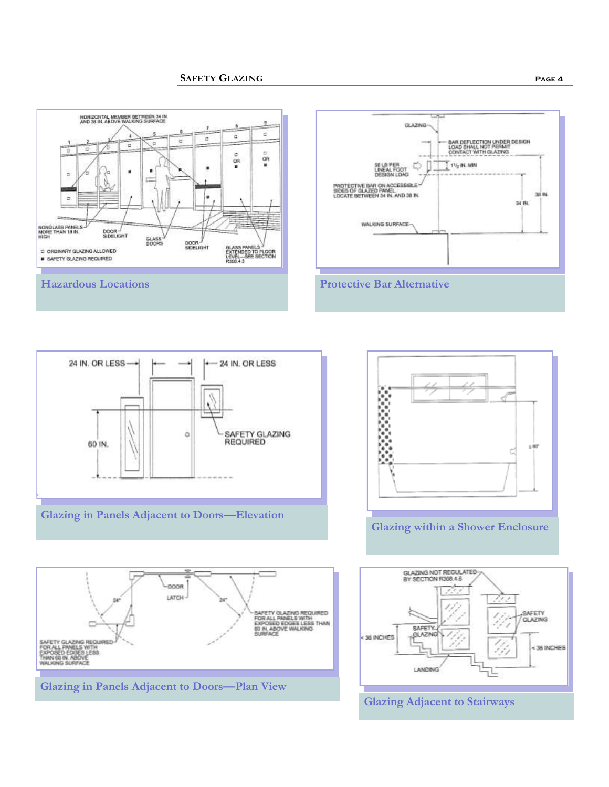













### **Glazing Adjacent to Stairways**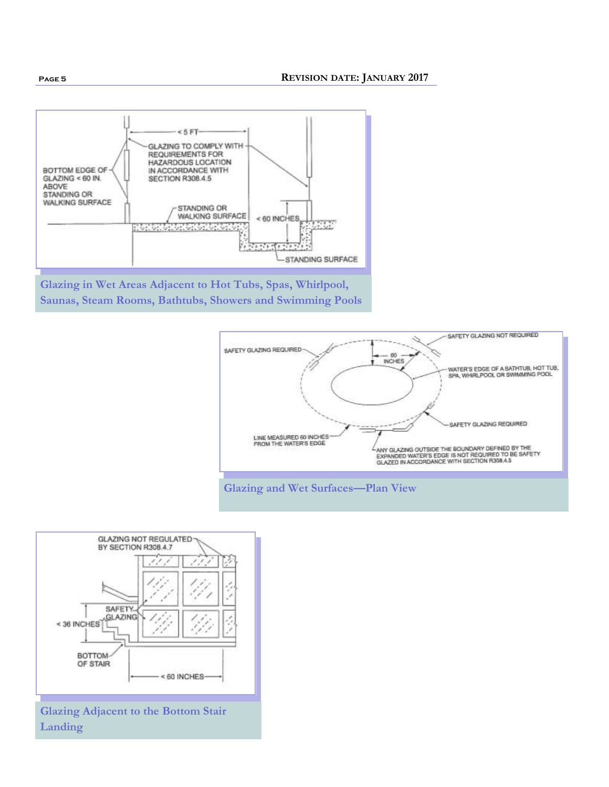









**Glazing Adjacent to the Bottom Stair Landing**